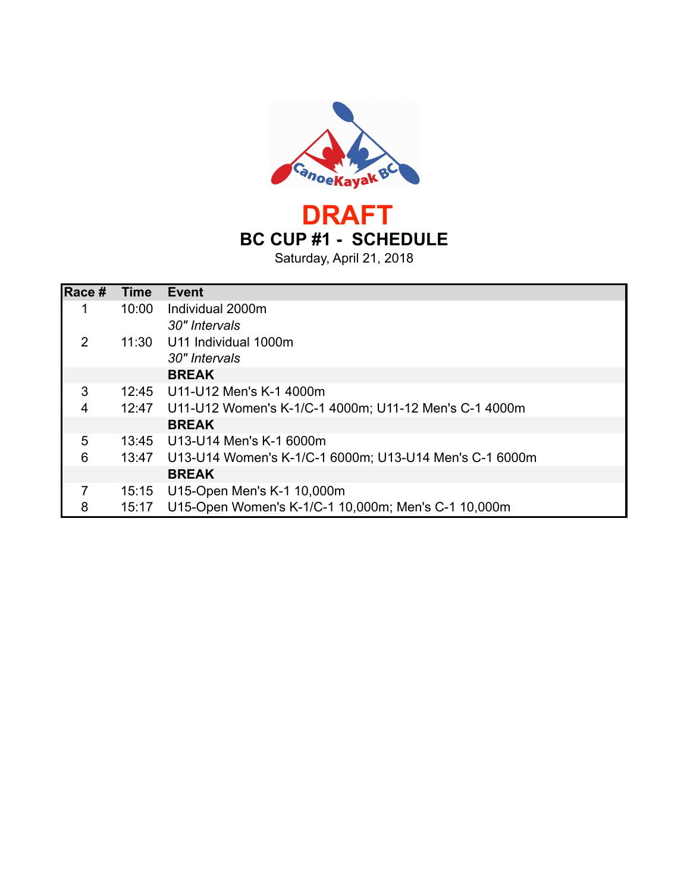

Saturday, April 21, 2018

| Race # | <b>Time</b> | <b>Event</b>                                           |
|--------|-------------|--------------------------------------------------------|
| 1      | 10:00       | Individual 2000m                                       |
|        |             | 30" Intervals                                          |
| 2      | 11:30       | U11 Individual 1000m                                   |
|        |             | 30" Intervals                                          |
|        |             | <b>BREAK</b>                                           |
| 3      |             | 12:45 U11-U12 Men's K-1 4000m                          |
| 4      | 12:47       | U11-U12 Women's K-1/C-1 4000m; U11-12 Men's C-1 4000m  |
|        |             | <b>BREAK</b>                                           |
| 5      |             | 13:45 U13-U14 Men's K-1 6000m                          |
| 6      | 13:47       | U13-U14 Women's K-1/C-1 6000m; U13-U14 Men's C-1 6000m |
|        |             | <b>BREAK</b>                                           |
| 7      | 15:15       | U15-Open Men's K-1 10,000m                             |
| 8      | 15:17       | U15-Open Women's K-1/C-1 10,000m; Men's C-1 10,000m    |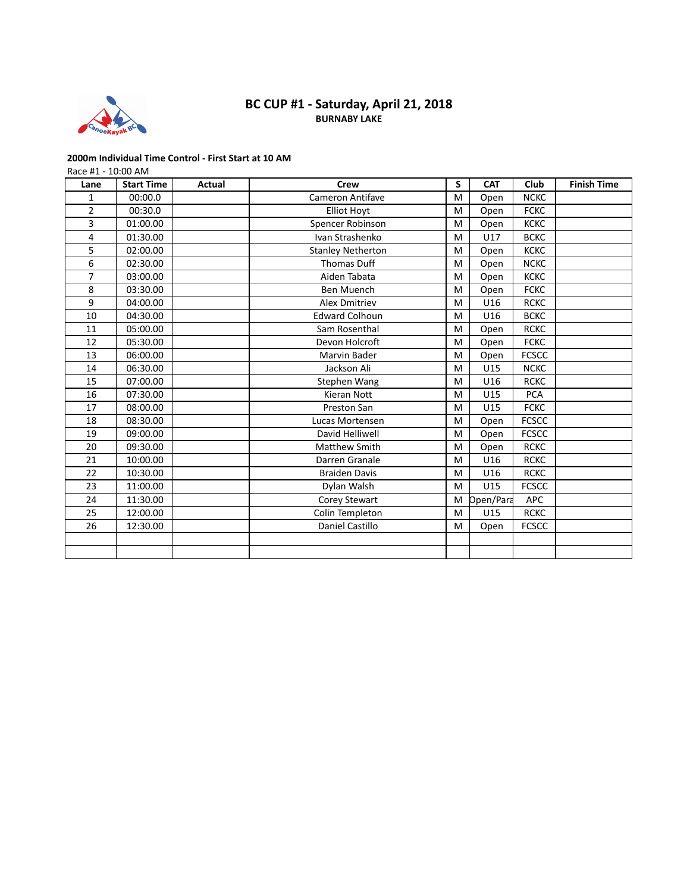

## **BURNABY LAKE BC CUP #1 - Saturday, April 21, 2018**

### **2000m Individual Time Control - First Start at 10 AM**

Race #1 - 10:00 AM

| Lane           | <b>Start Time</b> | Actual | <b>Crew</b>              | S | <b>CAT</b> | Club         | <b>Finish Time</b> |
|----------------|-------------------|--------|--------------------------|---|------------|--------------|--------------------|
| 1              | 00:00.0           |        | <b>Cameron Antifave</b>  | M | Open       | <b>NCKC</b>  |                    |
| $\overline{2}$ | 00:30.0           |        | <b>Elliot Hoyt</b>       | M | Open       | <b>FCKC</b>  |                    |
| 3              | 01:00.00          |        | Spencer Robinson         | M | Open       | <b>KCKC</b>  |                    |
| 4              | 01:30.00          |        | Ivan Strashenko          | M | U17        | <b>BCKC</b>  |                    |
| 5              | 02:00.00          |        | <b>Stanley Netherton</b> | M | Open       | <b>KCKC</b>  |                    |
| 6              | 02:30.00          |        | Thomas Duff              | M | Open       | <b>NCKC</b>  |                    |
| 7              | 03:00.00          |        | Aiden Tabata             | M | Open       | <b>KCKC</b>  |                    |
| 8              | 03:30.00          |        | <b>Ben Muench</b>        | M | Open       | <b>FCKC</b>  |                    |
| 9              | 04:00.00          |        | <b>Alex Dmitriev</b>     | M | U16        | <b>RCKC</b>  |                    |
| 10             | 04:30.00          |        | <b>Edward Colhoun</b>    | M | U16        | <b>BCKC</b>  |                    |
| 11             | 05:00.00          |        | Sam Rosenthal            | M | Open       | <b>RCKC</b>  |                    |
| 12             | 05:30.00          |        | Devon Holcroft           | M | Open       | <b>FCKC</b>  |                    |
| 13             | 06:00.00          |        | Marvin Bader             | M | Open       | <b>FCSCC</b> |                    |
| 14             | 06:30.00          |        | Jackson Ali              | M | U15        | <b>NCKC</b>  |                    |
| 15             | 07:00.00          |        | Stephen Wang             | M | U16        | <b>RCKC</b>  |                    |
| 16             | 07:30.00          |        | <b>Kieran Nott</b>       | M | U15        | <b>PCA</b>   |                    |
| 17             | 08:00.00          |        | Preston San              | M | U15        | <b>FCKC</b>  |                    |
| 18             | 08:30.00          |        | Lucas Mortensen          | M | Open       | <b>FCSCC</b> |                    |
| 19             | 09:00.00          |        | David Helliwell          | M | Open       | <b>FCSCC</b> |                    |
| 20             | 09:30.00          |        | Matthew Smith            | M | Open       | <b>RCKC</b>  |                    |
| 21             | 10:00.00          |        | Darren Granale           | M | U16        | <b>RCKC</b>  |                    |
| 22             | 10:30.00          |        | <b>Braiden Davis</b>     | M | U16        | <b>RCKC</b>  |                    |
| 23             | 11:00.00          |        | Dylan Walsh              | M | U15        | <b>FCSCC</b> |                    |
| 24             | 11:30.00          |        | Corey Stewart            | M | Open/Para  | <b>APC</b>   |                    |
| 25             | 12:00.00          |        | Colin Templeton          | M | U15        | <b>RCKC</b>  |                    |
| 26             | 12:30.00          |        | Daniel Castillo          | M | Open       | <b>FCSCC</b> |                    |
|                |                   |        |                          |   |            |              |                    |
|                |                   |        |                          |   |            |              |                    |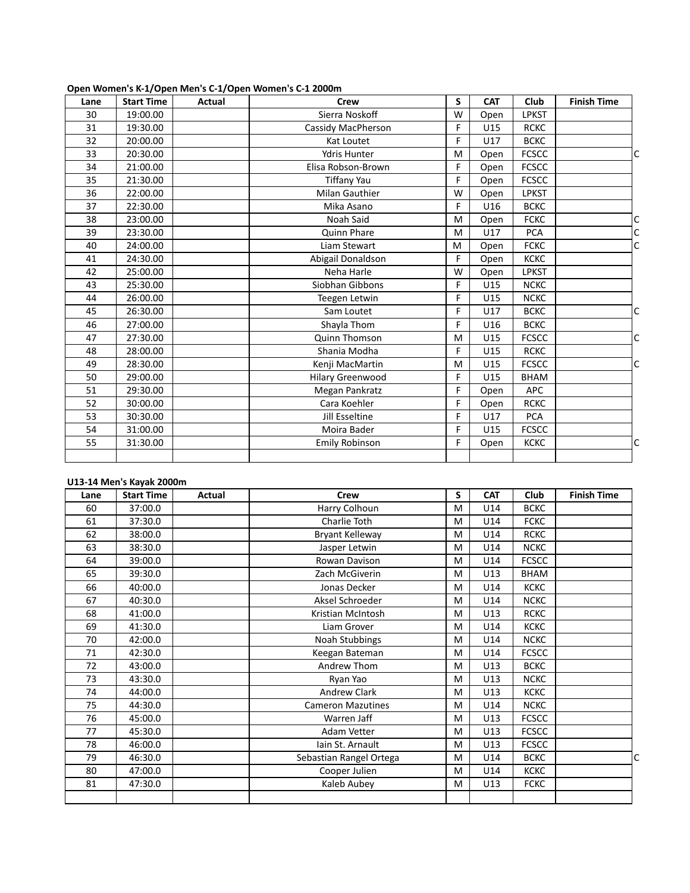| Lane | <b>Start Time</b> | Actual | <b>Crew</b>                                 | S | <b>CAT</b> | Club         | <b>Finish Time</b> |   |
|------|-------------------|--------|---------------------------------------------|---|------------|--------------|--------------------|---|
| 30   | 19:00.00          |        | Sierra Noskoff                              | W | Open       | <b>LPKST</b> |                    |   |
| 31   | 19:30.00          |        | Cassidy MacPherson                          | F | U15        | <b>RCKC</b>  |                    |   |
| 32   | 20:00.00          |        | Kat Loutet                                  | F | U17        | <b>BCKC</b>  |                    |   |
| 33   | 20:30.00          |        | <b>Ydris Hunter</b>                         | M | Open       | <b>FCSCC</b> |                    | C |
| 34   | 21:00.00          |        | Elisa Robson-Brown                          | F | Open       | <b>FCSCC</b> |                    |   |
| 35   | 21:30.00          |        |                                             | F |            | <b>FCSCC</b> |                    |   |
|      |                   |        | <b>Tiffany Yau</b><br><b>Milan Gauthier</b> | W | Open       |              |                    |   |
| 36   | 22:00.00          |        |                                             |   | Open       | <b>LPKST</b> |                    |   |
| 37   | 22:30.00          |        | Mika Asano                                  | F | U16        | <b>BCKC</b>  |                    |   |
| 38   | 23:00.00          |        | Noah Said                                   | M | Open       | <b>FCKC</b>  |                    |   |
| 39   | 23:30.00          |        | Quinn Phare                                 | M | U17        | <b>PCA</b>   |                    | C |
| 40   | 24:00.00          |        | Liam Stewart                                | M | Open       | <b>FCKC</b>  |                    | C |
| 41   | 24:30.00          |        | Abigail Donaldson                           | F | Open       | <b>KCKC</b>  |                    |   |
| 42   | 25:00.00          |        | Neha Harle                                  | W | Open       | <b>LPKST</b> |                    |   |
| 43   | 25:30.00          |        | Siobhan Gibbons                             | F | U15        | <b>NCKC</b>  |                    |   |
| 44   | 26:00.00          |        | Teegen Letwin                               | F | U15        | <b>NCKC</b>  |                    |   |
| 45   | 26:30.00          |        | Sam Loutet                                  | F | U17        | <b>BCKC</b>  |                    | C |
| 46   | 27:00.00          |        | Shayla Thom                                 | F | U16        | <b>BCKC</b>  |                    |   |
| 47   | 27:30.00          |        | <b>Quinn Thomson</b>                        | M | U15        | <b>FCSCC</b> |                    | C |
| 48   | 28:00.00          |        | Shania Modha                                | F | U15        | <b>RCKC</b>  |                    |   |
| 49   | 28:30.00          |        | Kenji MacMartin                             | M | U15        | <b>FCSCC</b> |                    | C |
| 50   | 29:00.00          |        | <b>Hilary Greenwood</b>                     | F | U15        | <b>BHAM</b>  |                    |   |
| 51   | 29:30.00          |        | Megan Pankratz                              | F | Open       | <b>APC</b>   |                    |   |
| 52   | 30:00.00          |        | Cara Koehler                                | F | Open       | <b>RCKC</b>  |                    |   |
| 53   | 30:30.00          |        | Jill Esseltine                              | F | U17        | <b>PCA</b>   |                    |   |
| 54   | 31:00.00          |        | Moira Bader                                 | F | U15        | <b>FCSCC</b> |                    |   |
| 55   | 31:30.00          |        | <b>Emily Robinson</b>                       | F | Open       | <b>KCKC</b>  |                    | C |
|      |                   |        |                                             |   |            |              |                    |   |

### **Open Women's K-1/Open Men's C-1/Open Women's C-1 2000m**

#### **U13-14 Men's Kayak 2000m**

| Lane | <b>Start Time</b> | Actual | Crew                     | S | <b>CAT</b> | Club         | <b>Finish Time</b> |
|------|-------------------|--------|--------------------------|---|------------|--------------|--------------------|
| 60   | 37:00.0           |        | Harry Colhoun            | M | U14        | <b>BCKC</b>  |                    |
| 61   | 37:30.0           |        | Charlie Toth             | M | U14        | <b>FCKC</b>  |                    |
| 62   | 38:00.0           |        | Bryant Kelleway          | M | U14        | <b>RCKC</b>  |                    |
| 63   | 38:30.0           |        | Jasper Letwin            | M | U14        | <b>NCKC</b>  |                    |
| 64   | 39:00.0           |        | Rowan Davison            | M | U14        | <b>FCSCC</b> |                    |
| 65   | 39:30.0           |        | Zach McGiverin           | M | U13        | <b>BHAM</b>  |                    |
| 66   | 40:00.0           |        | Jonas Decker             | M | U14        | <b>KCKC</b>  |                    |
| 67   | 40:30.0           |        | Aksel Schroeder          | M | U14        | <b>NCKC</b>  |                    |
| 68   | 41:00.0           |        | Kristian McIntosh        | M | U13        | <b>RCKC</b>  |                    |
| 69   | 41:30.0           |        | Liam Grover              | M | U14        | <b>KCKC</b>  |                    |
| 70   | 42:00.0           |        | Noah Stubbings           | M | U14        | <b>NCKC</b>  |                    |
| 71   | 42:30.0           |        | Keegan Bateman           | M | U14        | <b>FCSCC</b> |                    |
| 72   | 43:00.0           |        | Andrew Thom              | M | U13        | <b>BCKC</b>  |                    |
| 73   | 43:30.0           |        | Ryan Yao                 | M | U13        | <b>NCKC</b>  |                    |
| 74   | 44:00.0           |        | Andrew Clark             | M | U13        | <b>KCKC</b>  |                    |
| 75   | 44:30.0           |        | <b>Cameron Mazutines</b> | M | U14        | <b>NCKC</b>  |                    |
| 76   | 45:00.0           |        | Warren Jaff              | M | U13        | <b>FCSCC</b> |                    |
| 77   | 45:30.0           |        | Adam Vetter              | M | U13        | <b>FCSCC</b> |                    |
| 78   | 46:00.0           |        | lain St. Arnault         | M | U13        | <b>FCSCC</b> |                    |
| 79   | 46:30.0           |        | Sebastian Rangel Ortega  | M | U14        | <b>BCKC</b>  | C                  |
| 80   | 47:00.0           |        | Cooper Julien            | M | U14        | <b>KCKC</b>  |                    |
| 81   | 47:30.0           |        | Kaleb Aubey              | M | U13        | <b>FCKC</b>  |                    |
|      |                   |        |                          |   |            |              |                    |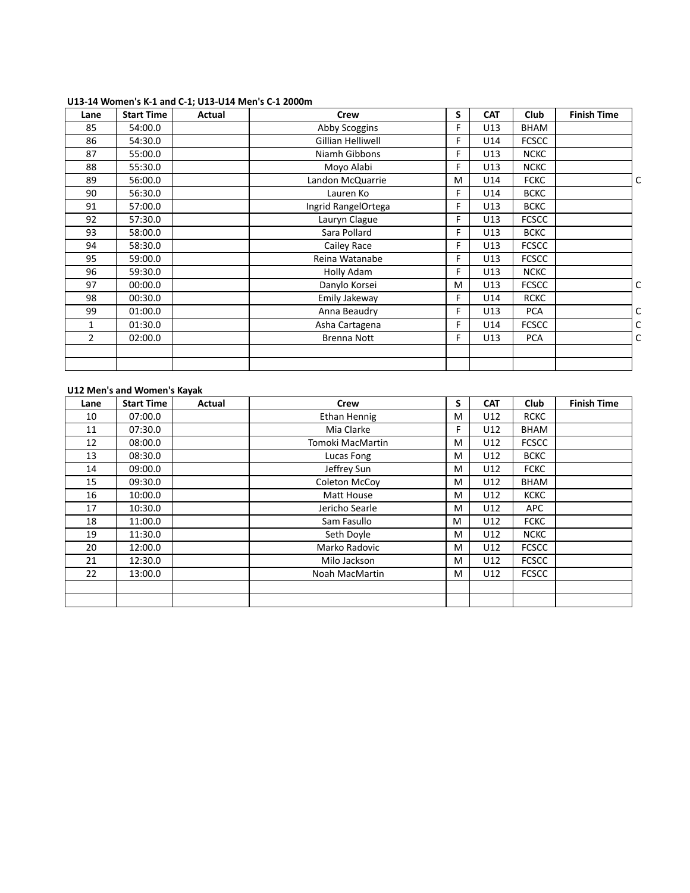| Lane | <b>Start Time</b> | Actual | <b>Crew</b>         | S | <b>CAT</b> | Club         | <b>Finish Time</b> |   |
|------|-------------------|--------|---------------------|---|------------|--------------|--------------------|---|
| 85   | 54:00.0           |        | Abby Scoggins       | F | U13        | <b>BHAM</b>  |                    |   |
| 86   | 54:30.0           |        | Gillian Helliwell   | F | U14        | <b>FCSCC</b> |                    |   |
| 87   | 55:00.0           |        | Niamh Gibbons       | F | U13        | <b>NCKC</b>  |                    |   |
| 88   | 55:30.0           |        | Moyo Alabi          | F | U13        | <b>NCKC</b>  |                    |   |
| 89   | 56:00.0           |        | Landon McQuarrie    | M | U14        | <b>FCKC</b>  |                    | C |
| 90   | 56:30.0           |        | Lauren Ko           | F | U14        | <b>BCKC</b>  |                    |   |
| 91   | 57:00.0           |        | Ingrid RangelOrtega | F | U13        | <b>BCKC</b>  |                    |   |
| 92   | 57:30.0           |        | Lauryn Clague       | F | U13        | <b>FCSCC</b> |                    |   |
| 93   | 58:00.0           |        | Sara Pollard        | F | U13        | <b>BCKC</b>  |                    |   |
| 94   | 58:30.0           |        | Cailey Race         | F | U13        | <b>FCSCC</b> |                    |   |
| 95   | 59:00.0           |        | Reina Watanabe      | F | U13        | <b>FCSCC</b> |                    |   |
| 96   | 59:30.0           |        | Holly Adam          | F | U13        | <b>NCKC</b>  |                    |   |
| 97   | 00:00.0           |        | Danylo Korsei       | M | U13        | <b>FCSCC</b> |                    | C |
| 98   | 00:30.0           |        | Emily Jakeway       | F | U14        | <b>RCKC</b>  |                    |   |
| 99   | 01:00.0           |        | Anna Beaudry        | F | U13        | <b>PCA</b>   |                    | C |
| 1    | 01:30.0           |        | Asha Cartagena      | F | U14        | <b>FCSCC</b> |                    | C |
| 2    | 02:00.0           |        | <b>Brenna Nott</b>  | F | U13        | <b>PCA</b>   |                    | C |
|      |                   |        |                     |   |            |              |                    |   |
|      |                   |        |                     |   |            |              |                    |   |

#### **U13-14 Women's K-1 and C-1; U13-U14 Men's C-1 2000m**

### **U12 Men's and Women's Kayak**

| Lane | <b>Start Time</b> | Actual | Crew             | S  | <b>CAT</b> | Club         | <b>Finish Time</b> |
|------|-------------------|--------|------------------|----|------------|--------------|--------------------|
| 10   | 07:00.0           |        | Ethan Hennig     | M  | U12        | <b>RCKC</b>  |                    |
| 11   | 07:30.0           |        | Mia Clarke       | F. | U12        | <b>BHAM</b>  |                    |
| 12   | 08:00.0           |        | Tomoki MacMartin | M  | U12        | <b>FCSCC</b> |                    |
| 13   | 08:30.0           |        | Lucas Fong       | M  | U12        | <b>BCKC</b>  |                    |
| 14   | 09:00.0           |        | Jeffrey Sun      | M  | U12        | <b>FCKC</b>  |                    |
| 15   | 09:30.0           |        | Coleton McCoy    | M  | U12        | <b>BHAM</b>  |                    |
| 16   | 10:00.0           |        | Matt House       | M  | U12        | <b>KCKC</b>  |                    |
| 17   | 10:30.0           |        | Jericho Searle   | M  | U12        | APC          |                    |
| 18   | 11:00.0           |        | Sam Fasullo      | M  | U12        | <b>FCKC</b>  |                    |
| 19   | 11:30.0           |        | Seth Doyle       | M  | U12        | <b>NCKC</b>  |                    |
| 20   | 12:00.0           |        | Marko Radovic    | M  | U12        | <b>FCSCC</b> |                    |
| 21   | 12:30.0           |        | Milo Jackson     | M  | U12        | <b>FCSCC</b> |                    |
| 22   | 13:00.0           |        | Noah MacMartin   | M  | U12        | <b>FCSCC</b> |                    |
|      |                   |        |                  |    |            |              |                    |
|      |                   |        |                  |    |            |              |                    |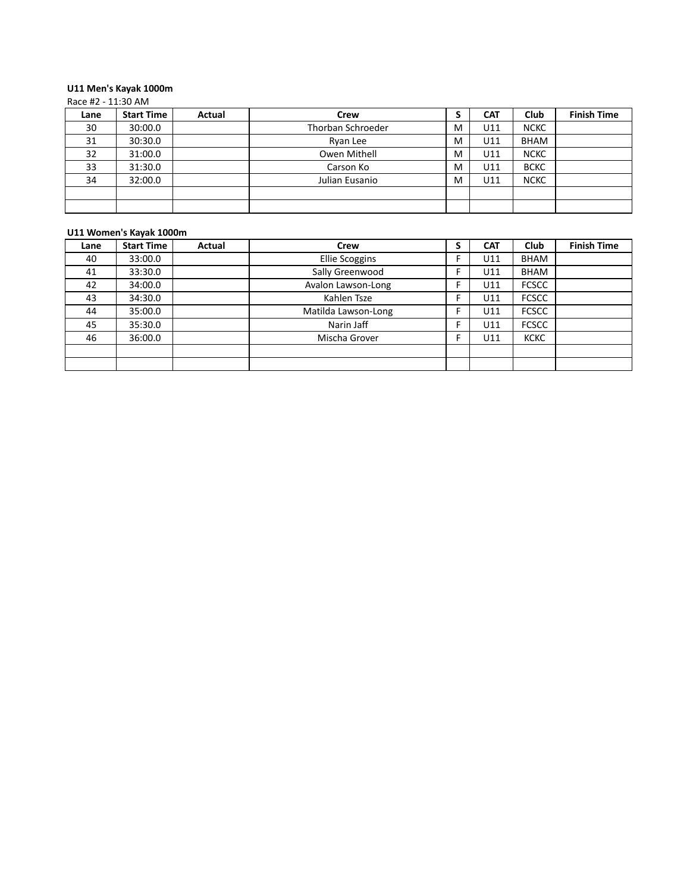#### **U11 Men's Kayak 1000m** Race #2 -  $11:30$  AM

|      | $110C$ $\pi$ $\epsilon$ $\pm$ $\pm$ $\pm$ $\sigma$ $\pi$ $\pi$ |        |                   |   |            |             |                    |  |  |  |
|------|----------------------------------------------------------------|--------|-------------------|---|------------|-------------|--------------------|--|--|--|
| Lane | <b>Start Time</b>                                              | Actual | Crew              |   | <b>CAT</b> | Club        | <b>Finish Time</b> |  |  |  |
| 30   | 30:00.0                                                        |        | Thorban Schroeder | M | U11        | <b>NCKC</b> |                    |  |  |  |
| 31   | 30:30.0                                                        |        | Ryan Lee          | м | U11        | <b>BHAM</b> |                    |  |  |  |
| 32   | 31:00.0                                                        |        | Owen Mithell      | M | U11        | <b>NCKC</b> |                    |  |  |  |
| 33   | 31:30.0                                                        |        | Carson Ko         | м | U11        | <b>BCKC</b> |                    |  |  |  |
| 34   | 32:00.0                                                        |        | Julian Eusanio    | м | U11        | <b>NCKC</b> |                    |  |  |  |
|      |                                                                |        |                   |   |            |             |                    |  |  |  |
|      |                                                                |        |                   |   |            |             |                    |  |  |  |

### **U11 Women's Kayak 1000m**

| Lane | <b>Start Time</b> | Actual | Crew                  | э  | <b>CAT</b> | <b>Club</b>  | <b>Finish Time</b> |
|------|-------------------|--------|-----------------------|----|------------|--------------|--------------------|
| 40   | 33:00.0           |        | <b>Ellie Scoggins</b> |    | U11        | <b>BHAM</b>  |                    |
| 41   | 33:30.0           |        | Sally Greenwood       | E  | U11        | <b>BHAM</b>  |                    |
| 42   | 34:00.0           |        | Avalon Lawson-Long    |    | U11        | <b>FCSCC</b> |                    |
| 43   | 34:30.0           |        | Kahlen Tsze           |    | U11        | <b>FCSCC</b> |                    |
| 44   | 35:00.0           |        | Matilda Lawson-Long   |    | U11        | <b>FCSCC</b> |                    |
| 45   | 35:30.0           |        | Narin Jaff            | E. | U11        | <b>FCSCC</b> |                    |
| 46   | 36:00.0           |        | Mischa Grover         |    | U11        | <b>KCKC</b>  |                    |
|      |                   |        |                       |    |            |              |                    |
|      |                   |        |                       |    |            |              |                    |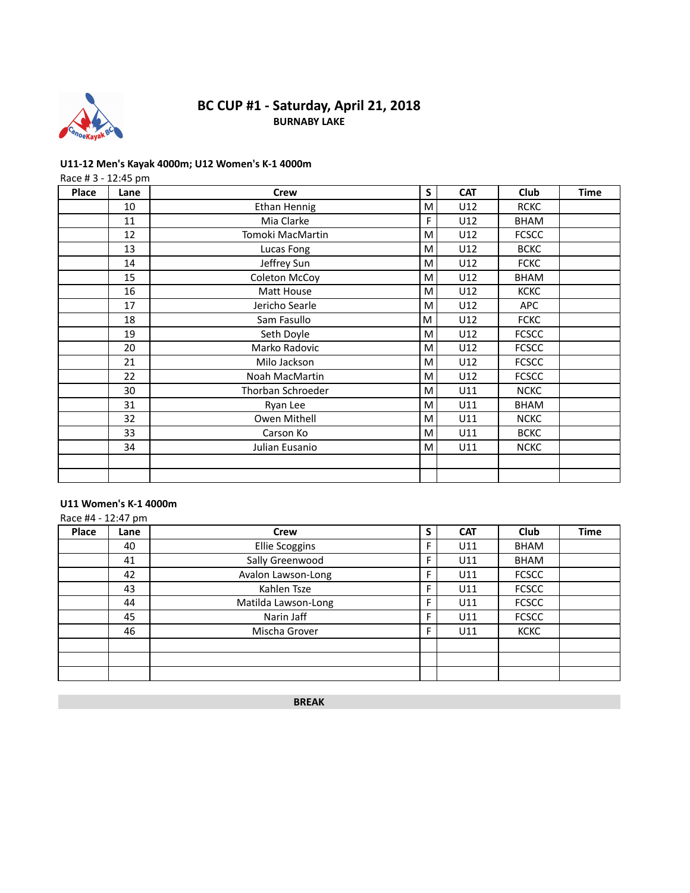

## **BC CUP #1 - Saturday, April 21, 2018 BURNABY LAKE**

### **U11-12 Men's Kayak 4000m; U12 Women's K-1 4000m**

|       | Race #3 - 12:45 pm |                     |   |            |              |             |  |  |  |  |
|-------|--------------------|---------------------|---|------------|--------------|-------------|--|--|--|--|
| Place | Lane               | <b>Crew</b>         | S | <b>CAT</b> | <b>Club</b>  | <b>Time</b> |  |  |  |  |
|       | 10                 | <b>Ethan Hennig</b> | M | U12        | <b>RCKC</b>  |             |  |  |  |  |
|       | 11                 | Mia Clarke          | F | U12        | <b>BHAM</b>  |             |  |  |  |  |
|       | 12                 | Tomoki MacMartin    | M | U12        | <b>FCSCC</b> |             |  |  |  |  |
|       | 13                 | Lucas Fong          | M | U12        | <b>BCKC</b>  |             |  |  |  |  |
|       | 14                 | Jeffrey Sun         | М | U12        | <b>FCKC</b>  |             |  |  |  |  |
|       | 15                 | Coleton McCoy       | М | U12        | <b>BHAM</b>  |             |  |  |  |  |
|       | 16                 | Matt House          | M | U12        | <b>KCKC</b>  |             |  |  |  |  |
|       | 17                 | Jericho Searle      | M | U12        | <b>APC</b>   |             |  |  |  |  |
|       | 18                 | Sam Fasullo         | M | U12        | <b>FCKC</b>  |             |  |  |  |  |
|       | 19                 | Seth Doyle          | м | U12        | <b>FCSCC</b> |             |  |  |  |  |
|       | 20                 | Marko Radovic       | M | U12        | <b>FCSCC</b> |             |  |  |  |  |
|       | 21                 | Milo Jackson        | M | U12        | <b>FCSCC</b> |             |  |  |  |  |
|       | 22                 | Noah MacMartin      | м | U12        | <b>FCSCC</b> |             |  |  |  |  |
|       | 30                 | Thorban Schroeder   | м | U11        | <b>NCKC</b>  |             |  |  |  |  |
|       | 31                 | Ryan Lee            | M | U11        | <b>BHAM</b>  |             |  |  |  |  |
|       | 32                 | Owen Mithell        | М | U11        | <b>NCKC</b>  |             |  |  |  |  |
|       | 33                 | Carson Ko           | M | U11        | <b>BCKC</b>  |             |  |  |  |  |
|       | 34                 | Julian Eusanio      | м | U11        | <b>NCKC</b>  |             |  |  |  |  |
|       |                    |                     |   |            |              |             |  |  |  |  |
|       |                    |                     |   |            |              |             |  |  |  |  |

## **U11 Women's K-1 4000m**

|       | Race #4 - 12:47 pm |                       |   |            |              |             |  |  |  |
|-------|--------------------|-----------------------|---|------------|--------------|-------------|--|--|--|
| Place | Lane               | <b>Crew</b>           | S | <b>CAT</b> | <b>Club</b>  | <b>Time</b> |  |  |  |
|       | 40                 | <b>Ellie Scoggins</b> | F | U11        | <b>BHAM</b>  |             |  |  |  |
|       | 41                 | Sally Greenwood       | F | U11        | <b>BHAM</b>  |             |  |  |  |
|       | 42                 | Avalon Lawson-Long    | F | U11        | <b>FCSCC</b> |             |  |  |  |
|       | 43                 | Kahlen Tsze           | F | U11        | <b>FCSCC</b> |             |  |  |  |
|       | 44                 | Matilda Lawson-Long   | Е | U11        | <b>FCSCC</b> |             |  |  |  |
|       | 45                 | Narin Jaff            | F | U11        | <b>FCSCC</b> |             |  |  |  |
|       | 46                 | Mischa Grover         | F | U11        | <b>KCKC</b>  |             |  |  |  |
|       |                    |                       |   |            |              |             |  |  |  |
|       |                    |                       |   |            |              |             |  |  |  |
|       |                    |                       |   |            |              |             |  |  |  |

**BREAK**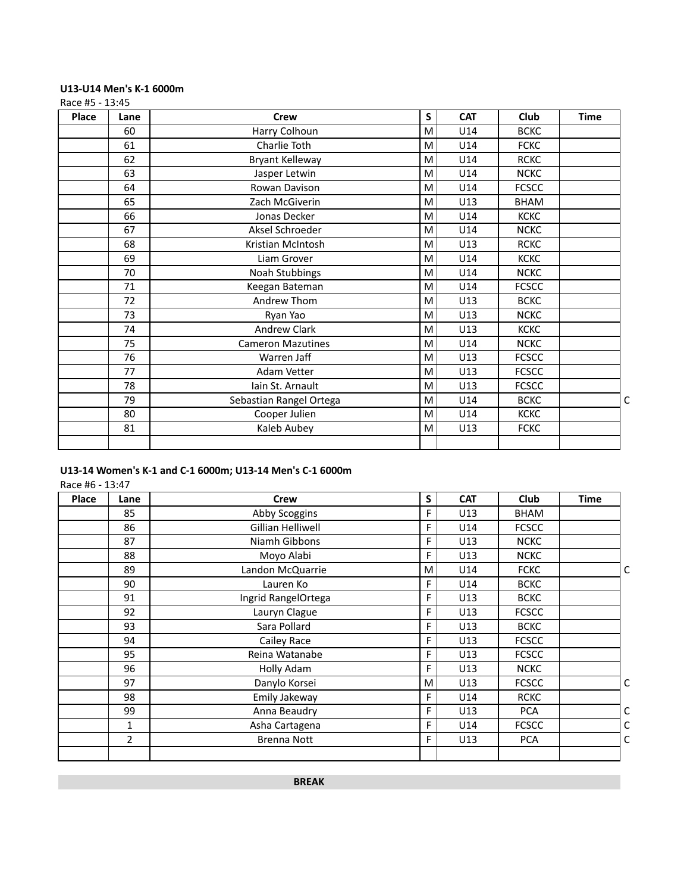## **U13-U14 Men's K-1 6000m**

Race #5 - 13:45

| Place | Lane | <b>Crew</b>              | S | <b>CAT</b> | Club         | <b>Time</b> |
|-------|------|--------------------------|---|------------|--------------|-------------|
|       | 60   | Harry Colhoun            | M | U14        | <b>BCKC</b>  |             |
|       | 61   | Charlie Toth             | M | U14        | <b>FCKC</b>  |             |
|       | 62   | Bryant Kelleway          | M | U14        | <b>RCKC</b>  |             |
|       | 63   | Jasper Letwin            | M | U14        | <b>NCKC</b>  |             |
|       | 64   | Rowan Davison            | M | U14        | <b>FCSCC</b> |             |
|       | 65   | Zach McGiverin           | M | U13        | BHAM         |             |
|       | 66   | Jonas Decker             | M | U14        | <b>KCKC</b>  |             |
|       | 67   | Aksel Schroeder          | M | U14        | <b>NCKC</b>  |             |
|       | 68   | Kristian McIntosh        | M | U13        | <b>RCKC</b>  |             |
|       | 69   | Liam Grover              | M | U14        | <b>KCKC</b>  |             |
|       | 70   | Noah Stubbings           | M | U14        | <b>NCKC</b>  |             |
|       | 71   | Keegan Bateman           | M | U14        | <b>FCSCC</b> |             |
|       | 72   | Andrew Thom              | M | U13        | <b>BCKC</b>  |             |
|       | 73   | Ryan Yao                 | M | U13        | <b>NCKC</b>  |             |
|       | 74   | Andrew Clark             | M | U13        | <b>KCKC</b>  |             |
|       | 75   | <b>Cameron Mazutines</b> | M | U14        | <b>NCKC</b>  |             |
|       | 76   | Warren Jaff              | M | U13        | <b>FCSCC</b> |             |
|       | 77   | Adam Vetter              | M | U13        | <b>FCSCC</b> |             |
|       | 78   | Iain St. Arnault         | M | U13        | <b>FCSCC</b> |             |
|       | 79   | Sebastian Rangel Ortega  | M | U14        | <b>BCKC</b>  |             |
|       | 80   | Cooper Julien            | M | U14        | <b>KCKC</b>  |             |
|       | 81   | Kaleb Aubey              | M | U13        | <b>FCKC</b>  |             |
|       |      |                          |   |            |              |             |

## **U13-14 Women's K-1 and C-1 6000m; U13-14 Men's C-1 6000m**

Race #6 - 13:47

| Place | Lane           | <b>Crew</b>         | S | <b>CAT</b> | Club         | <b>Time</b> |   |
|-------|----------------|---------------------|---|------------|--------------|-------------|---|
|       | 85             | Abby Scoggins       | F | U13        | BHAM         |             |   |
|       | 86             | Gillian Helliwell   | F | U14        | <b>FCSCC</b> |             |   |
|       | 87             | Niamh Gibbons       | F | U13        | <b>NCKC</b>  |             |   |
|       | 88             | Moyo Alabi          | F | U13        | <b>NCKC</b>  |             |   |
|       | 89             | Landon McQuarrie    | M | U14        | <b>FCKC</b>  |             | C |
|       | 90             | Lauren Ko           | F | U14        | <b>BCKC</b>  |             |   |
|       | 91             | Ingrid RangelOrtega | F | U13        | <b>BCKC</b>  |             |   |
|       | 92             | Lauryn Clague       | F | U13        | <b>FCSCC</b> |             |   |
|       | 93             | Sara Pollard        | F | U13        | <b>BCKC</b>  |             |   |
|       | 94             | Cailey Race         | F | U13        | <b>FCSCC</b> |             |   |
|       | 95             | Reina Watanabe      | F | U13        | <b>FCSCC</b> |             |   |
|       | 96             | Holly Adam          | F | U13        | <b>NCKC</b>  |             |   |
|       | 97             | Danylo Korsei       | M | U13        | <b>FCSCC</b> |             | C |
|       | 98             | Emily Jakeway       | F | U14        | <b>RCKC</b>  |             |   |
|       | 99             | Anna Beaudry        | F | U13        | <b>PCA</b>   |             | С |
|       | $\mathbf{1}$   | Asha Cartagena      | F | U14        | <b>FCSCC</b> |             | С |
|       | $\overline{2}$ | <b>Brenna Nott</b>  | F | U13        | <b>PCA</b>   |             | С |
|       |                |                     |   |            |              |             |   |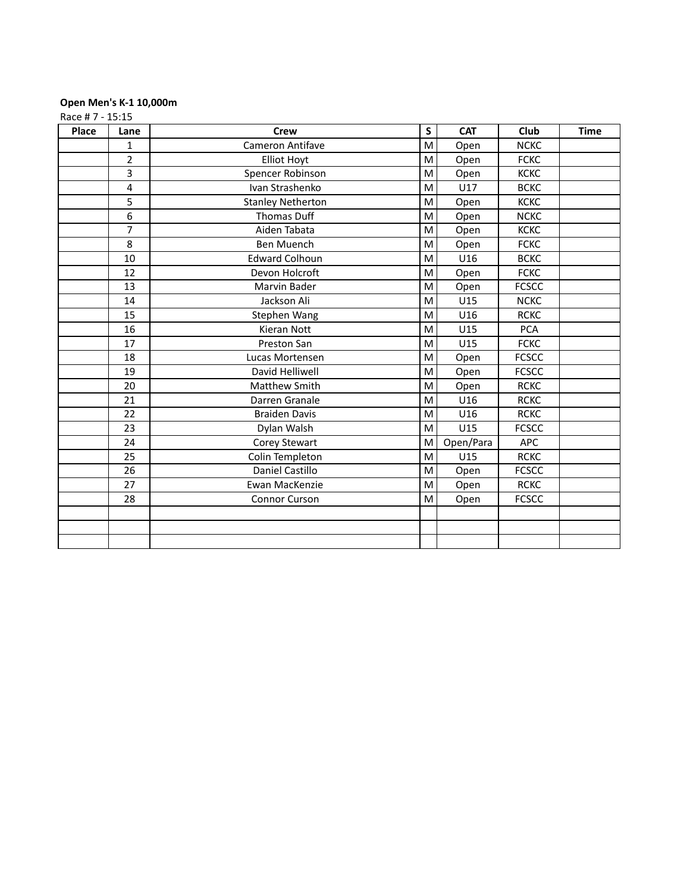### **Open Men's K-1 10,000m**

Race # 7 - 15:15

| Place | Lane           | <b>Crew</b>              | S | <b>CAT</b> | Club         | <b>Time</b> |
|-------|----------------|--------------------------|---|------------|--------------|-------------|
|       | $\mathbf{1}$   | Cameron Antifave         | M | Open       | <b>NCKC</b>  |             |
|       | $\overline{2}$ | <b>Elliot Hoyt</b>       | M | Open       | <b>FCKC</b>  |             |
|       | 3              | Spencer Robinson         | M | Open       | <b>KCKC</b>  |             |
|       | 4              | Ivan Strashenko          | M | U17        | <b>BCKC</b>  |             |
|       | 5              | <b>Stanley Netherton</b> | M | Open       | <b>KCKC</b>  |             |
|       | 6              | <b>Thomas Duff</b>       | M | Open       | <b>NCKC</b>  |             |
|       | $\overline{7}$ | Aiden Tabata             | M | Open       | <b>KCKC</b>  |             |
|       | 8              | Ben Muench               | M | Open       | <b>FCKC</b>  |             |
|       | 10             | <b>Edward Colhoun</b>    | M | U16        | <b>BCKC</b>  |             |
|       | 12             | Devon Holcroft           | M | Open       | <b>FCKC</b>  |             |
|       | 13             | Marvin Bader             | M | Open       | <b>FCSCC</b> |             |
|       | 14             | Jackson Ali              | M | U15        | <b>NCKC</b>  |             |
|       | 15             | Stephen Wang             | M | U16        | <b>RCKC</b>  |             |
|       | 16             | Kieran Nott              | M | U15        | <b>PCA</b>   |             |
|       | 17             | Preston San              | М | U15        | <b>FCKC</b>  |             |
|       | 18             | Lucas Mortensen          | M | Open       | <b>FCSCC</b> |             |
|       | 19             | David Helliwell          | M | Open       | <b>FCSCC</b> |             |
|       | 20             | <b>Matthew Smith</b>     | M | Open       | <b>RCKC</b>  |             |
|       | 21             | Darren Granale           | M | U16        | <b>RCKC</b>  |             |
|       | 22             | <b>Braiden Davis</b>     | M | U16        | <b>RCKC</b>  |             |
|       | 23             | Dylan Walsh              | M | U15        | <b>FCSCC</b> |             |
|       | 24             | Corey Stewart            | M | Open/Para  | APC          |             |
|       | 25             | Colin Templeton          | M | U15        | <b>RCKC</b>  |             |
|       | 26             | Daniel Castillo          | M | Open       | <b>FCSCC</b> |             |
|       | 27             | Ewan MacKenzie           | M | Open       | <b>RCKC</b>  |             |
|       | 28             | <b>Connor Curson</b>     | M | Open       | <b>FCSCC</b> |             |
|       |                |                          |   |            |              |             |
|       |                |                          |   |            |              |             |
|       |                |                          |   |            |              |             |